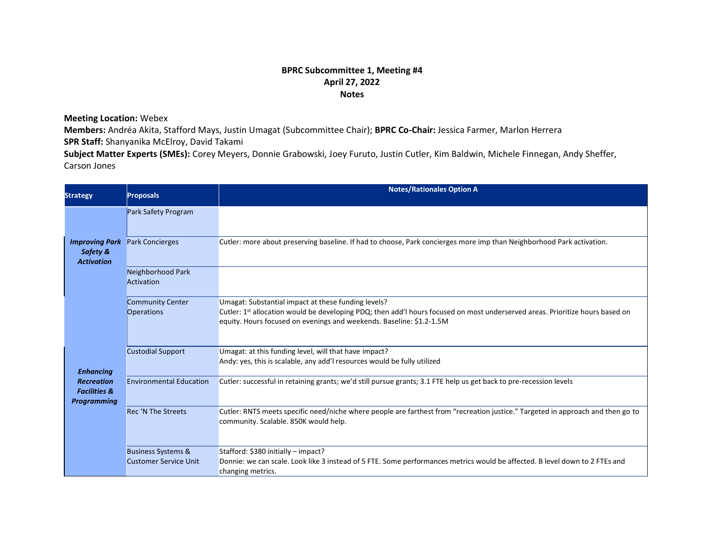## **BPRC Subcommittee 1, Meeting #4 April 27, 2022 Notes**

**Meeting Location:** Webex

**Members:** Andréa Akita, Stafford Mays, Justin Umagat (Subcommittee Chair); **BPRC Co-Chair:** Jessica Farmer, Marlon Herrera **SPR Staff:** Shanyanika McElroy, David Takami

**Subject Matter Experts (SMEs):** Corey Meyers, Donnie Grabowski, Joey Furuto, Justin Cutler, Kim Baldwin, Michele Finnegan, Andy Sheffer, Carson Jones

| <b>Strategy</b>                                                                        | <b>Proposals</b>                                              | <b>Notes/Rationales Option A</b>                                                                                                                                                                                                                             |
|----------------------------------------------------------------------------------------|---------------------------------------------------------------|--------------------------------------------------------------------------------------------------------------------------------------------------------------------------------------------------------------------------------------------------------------|
|                                                                                        | Park Safety Program                                           |                                                                                                                                                                                                                                                              |
| <b>Improving Park</b><br>Safety &<br><b>Activation</b>                                 | <b>Park Concierges</b>                                        | Cutler: more about preserving baseline. If had to choose, Park concierges more imp than Neighborhood Park activation.                                                                                                                                        |
|                                                                                        | Neighborhood Park<br>Activation                               |                                                                                                                                                                                                                                                              |
|                                                                                        | Community Center<br>Operations                                | Umagat: Substantial impact at these funding levels?<br>Cutler: 1st allocation would be developing PDQ; then add'l hours focused on most underserved areas. Prioritize hours based on<br>equity. Hours focused on evenings and weekends. Baseline: \$1.2-1.5M |
| <b>Enhancing</b><br><b>Recreation</b><br><b>Facilities &amp;</b><br><b>Programming</b> | <b>Custodial Support</b>                                      | Umagat: at this funding level, will that have impact?<br>Andy: yes, this is scalable, any add'I resources would be fully utilized                                                                                                                            |
|                                                                                        | <b>Environmental Education</b>                                | Cutler: successful in retaining grants; we'd still pursue grants; 3.1 FTE help us get back to pre-recession levels                                                                                                                                           |
|                                                                                        | <b>Rec 'N The Streets</b>                                     | Cutler: RNTS meets specific need/niche where people are farthest from "recreation justice." Targeted in approach and then go to<br>community. Scalable. 850K would help.                                                                                     |
|                                                                                        | <b>Business Systems &amp;</b><br><b>Customer Service Unit</b> | Stafford: \$380 initially - impact?<br>Donnie: we can scale. Look like 3 instead of 5 FTE. Some performances metrics would be affected. B level down to 2 FTEs and<br>changing metrics.                                                                      |